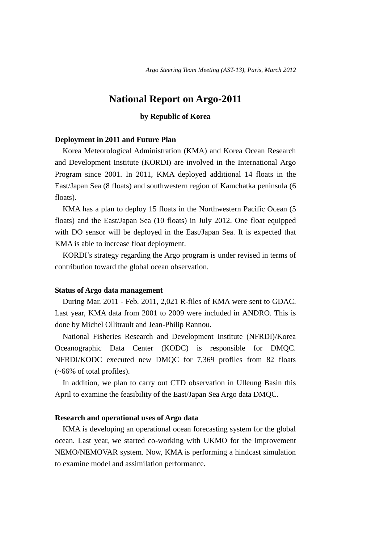# **National Report on Argo-2011**

# **by Republic of Korea**

### **Deployment in 2011 and Future Plan**

Korea Meteorological Administration (KMA) and Korea Ocean Research and Development Institute (KORDI) are involved in the International Argo Program since 2001. In 2011, KMA deployed additional 14 floats in the East/Japan Sea (8 floats) and southwestern region of Kamchatka peninsula (6 floats).

KMA has a plan to deploy 15 floats in the Northwestern Pacific Ocean (5 floats) and the East/Japan Sea (10 floats) in July 2012. One float equipped with DO sensor will be deployed in the East/Japan Sea. It is expected that KMA is able to increase float deployment.

KORDI's strategy regarding the Argo program is under revised in terms of contribution toward the global ocean observation.

#### **Status of Argo data management**

During Mar. 2011 - Feb. 2011, 2,021 R-files of KMA were sent to GDAC. Last year, KMA data from 2001 to 2009 were included in ANDRO. This is done by Michel Ollitrault and Jean-Philip Rannou.

National Fisheries Research and Development Institute (NFRDI)/Korea Oceanographic Data Center (KODC) is responsible for DMQC. NFRDI/KODC executed new DMQC for 7,369 profiles from 82 floats (~66% of total profiles).

In addition, we plan to carry out CTD observation in Ulleung Basin this April to examine the feasibility of the East/Japan Sea Argo data DMQC.

## **Research and operational uses of Argo data**

KMA is developing an operational ocean forecasting system for the global ocean. Last year, we started co-working with UKMO for the improvement NEMO/NEMOVAR system. Now, KMA is performing a hindcast simulation to examine model and assimilation performance.